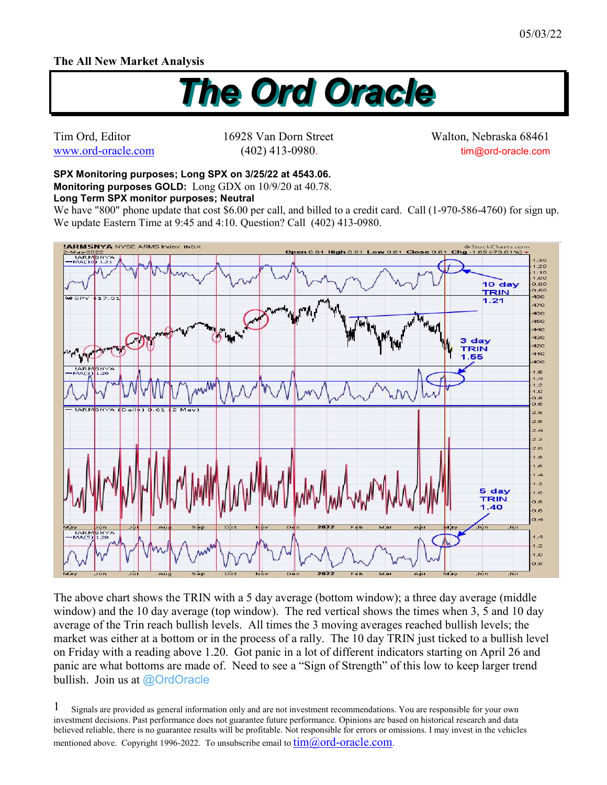## **The All New Market Analysis**



Tim Ord, Editor 16928 Van Dorn Street Walton, Nebraska 68461 www.ord-oracle.com (402) 413-0980. tim@ord-oracle.com

## **SPX Monitoring purposes; Long SPX on 3/25/22 at 4543.06. Monitoring purposes GOLD:** Long GDX on 10/9/20 at 40.78.

**Long Term SPX monitor purposes; Neutral** 

We have "800" phone update that cost \$6.00 per call, and billed to a credit card. Call (1-970-586-4760) for sign up. We update Eastern Time at 9:45 and 4:10. Question? Call (402) 413-0980.



The above chart shows the TRIN with a 5 day average (bottom window); a three day average (middle window) and the 10 day average (top window). The red vertical shows the times when 3, 5 and 10 day average of the Trin reach bullish levels. All times the 3 moving averages reached bullish levels; the market was either at a bottom or in the process of a rally. The 10 day TRIN just ticked to a bullish level on Friday with a reading above 1.20. Got panic in a lot of different indicators starting on April 26 and panic are what bottoms are made of. Need to see a "Sign of Strength" of this low to keep larger trend bullish. Join us at @OrdOracle

Signals are provided as general information only and are not investment recommendations. You are responsible for your own investment decisions. Past performance does not guarantee future performance. Opinions are based on historical research and data believed reliable, there is no guarantee results will be profitable. Not responsible for errors or omissions. I may invest in the vehicles mentioned above. Copyright 1996-2022. To unsubscribe email to  $\lim(\partial_{\theta} \text{ord-oracle.com})$ . 1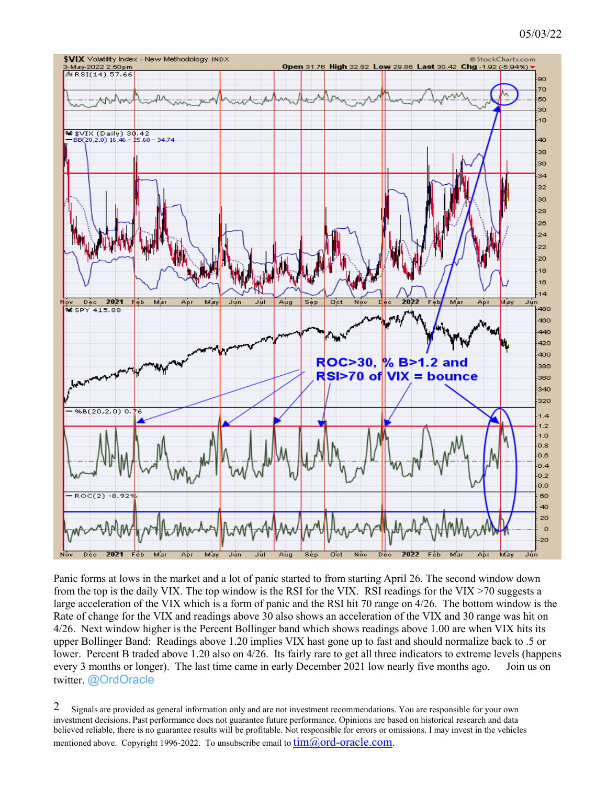## 05/03/22



Panic forms at lows in the market and a lot of panic started to from starting April 26. The second window down from the top is the daily VIX. The top window is the RSI for the VIX. RSI readings for the VIX >70 suggests a large acceleration of the VIX which is a form of panic and the RSI hit 70 range on 4/26. The bottom window is the Rate of change for the VIX and readings above 30 also shows an acceleration of the VIX and 30 range was hit on 4/26. Next window higher is the Percent Bollinger band which shows readings above 1.00 are when VIX hits its upper Bollinger Band: Readings above 1.20 implies VIX hast gone up to fast and should normalize back to .5 or lower. Percent B traded above 1.20 also on 4/26. Its fairly rare to get all three indicators to extreme levels (happens every 3 months or longer). The last time came in early December 2021 low nearly five months ago. Join us on twitter. @OrdOracle

Signals are provided as general information only and are not investment recommendations. You are responsible for your own investment decisions. Past performance does not guarantee future performance. Opinions are based on historical research and data believed reliable, there is no guarantee results will be profitable. Not responsible for errors or omissions. I may invest in the vehicles mentioned above. Copyright 1996-2022. To unsubscribe email to  $\lim_{\omega}(\partial \text{ord-oracle.com})$ . 2